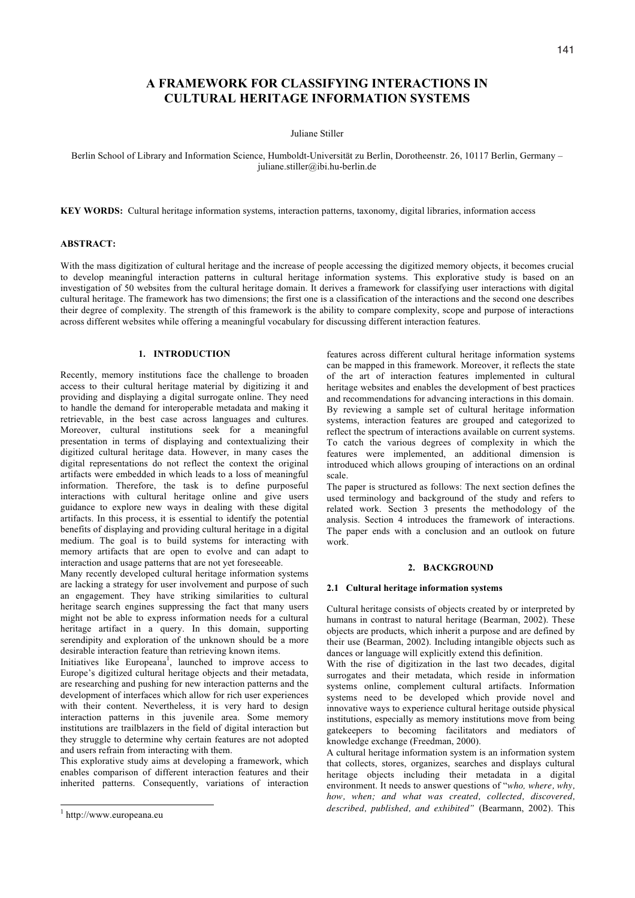# **A FRAMEWORK FOR CLASSIFYING INTERACTIONS IN CULTURAL HERITAGE INFORMATION SYSTEMS**

Juliane Stiller

Berlin School of Library and Information Science, Humboldt-Universität zu Berlin, Dorotheenstr. 26, 10117 Berlin, Germany – juliane.stiller@ibi.hu-berlin.de

**KEY WORDS:** Cultural heritage information systems, interaction patterns, taxonomy, digital libraries, information access

### **ABSTRACT:**

With the mass digitization of cultural heritage and the increase of people accessing the digitized memory objects, it becomes crucial to develop meaningful interaction patterns in cultural heritage information systems. This explorative study is based on an investigation of 50 websites from the cultural heritage domain. It derives a framework for classifying user interactions with digital cultural heritage. The framework has two dimensions; the first one is a classification of the interactions and the second one describes their degree of complexity. The strength of this framework is the ability to compare complexity, scope and purpose of interactions across different websites while offering a meaningful vocabulary for discussing different interaction features.

## **1. INTRODUCTION**

Recently, memory institutions face the challenge to broaden access to their cultural heritage material by digitizing it and providing and displaying a digital surrogate online. They need to handle the demand for interoperable metadata and making it retrievable, in the best case across languages and cultures. Moreover, cultural institutions seek for a meaningful presentation in terms of displaying and contextualizing their digitized cultural heritage data. However, in many cases the digital representations do not reflect the context the original artifacts were embedded in which leads to a loss of meaningful information. Therefore, the task is to define purposeful interactions with cultural heritage online and give users guidance to explore new ways in dealing with these digital artifacts. In this process, it is essential to identify the potential benefits of displaying and providing cultural heritage in a digital medium. The goal is to build systems for interacting with memory artifacts that are open to evolve and can adapt to interaction and usage patterns that are not yet foreseeable.

Many recently developed cultural heritage information systems are lacking a strategy for user involvement and purpose of such an engagement. They have striking similarities to cultural heritage search engines suppressing the fact that many users might not be able to express information needs for a cultural heritage artifact in a query. In this domain, supporting serendipity and exploration of the unknown should be a more desirable interaction feature than retrieving known items.

Initiatives like Europeana<sup>1</sup>, launched to improve access to Europe's digitized cultural heritage objects and their metadata, are researching and pushing for new interaction patterns and the development of interfaces which allow for rich user experiences with their content. Nevertheless, it is very hard to design interaction patterns in this juvenile area. Some memory institutions are trailblazers in the field of digital interaction but they struggle to determine why certain features are not adopted and users refrain from interacting with them.

This explorative study aims at developing a framework, which enables comparison of different interaction features and their inherited patterns. Consequently, variations of interaction

-

features across different cultural heritage information systems can be mapped in this framework. Moreover, it reflects the state of the art of interaction features implemented in cultural heritage websites and enables the development of best practices and recommendations for advancing interactions in this domain. By reviewing a sample set of cultural heritage information systems, interaction features are grouped and categorized to reflect the spectrum of interactions available on current systems. To catch the various degrees of complexity in which the features were implemented, an additional dimension is introduced which allows grouping of interactions on an ordinal scale.

The paper is structured as follows: The next section defines the used terminology and background of the study and refers to related work. Section 3 presents the methodology of the analysis. Section 4 introduces the framework of interactions. The paper ends with a conclusion and an outlook on future work.

#### **2. BACKGROUND**

### **2.1 Cultural heritage information systems**

Cultural heritage consists of objects created by or interpreted by humans in contrast to natural heritage (Bearman, 2002). These objects are products, which inherit a purpose and are defined by their use (Bearman, 2002). Including intangible objects such as dances or language will explicitly extend this definition.

With the rise of digitization in the last two decades, digital surrogates and their metadata, which reside in information systems online, complement cultural artifacts. Information systems need to be developed which provide novel and innovative ways to experience cultural heritage outside physical institutions, especially as memory institutions move from being gatekeepers to becoming facilitators and mediators of knowledge exchange (Freedman, 2000).

A cultural heritage information system is an information system that collects, stores, organizes, searches and displays cultural heritage objects including their metadata in a digital environment. It needs to answer questions of "*who, where, why, how, when; and what was created, collected, discovered, described, published, and exhibited"* (Bearmann, 2002). This

<sup>1</sup> http://www.europeana.eu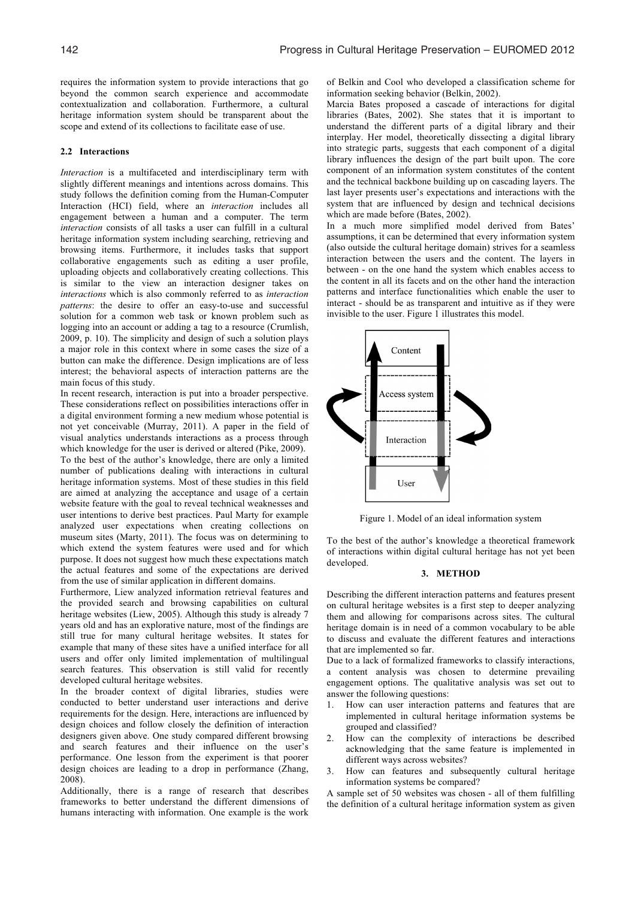requires the information system to provide interactions that go beyond the common search experience and accommodate contextualization and collaboration. Furthermore, a cultural heritage information system should be transparent about the scope and extend of its collections to facilitate ease of use.

#### **2.2 Interactions**

*Interaction* is a multifaceted and interdisciplinary term with slightly different meanings and intentions across domains. This study follows the definition coming from the Human-Computer Interaction (HCI) field, where an *interaction* includes all engagement between a human and a computer. The term *interaction* consists of all tasks a user can fulfill in a cultural heritage information system including searching, retrieving and browsing items. Furthermore, it includes tasks that support collaborative engagements such as editing a user profile, uploading objects and collaboratively creating collections. This is similar to the view an interaction designer takes on *interactions* which is also commonly referred to as *interaction patterns*: the desire to offer an easy-to-use and successful solution for a common web task or known problem such as logging into an account or adding a tag to a resource (Crumlish, 2009, p. 10). The simplicity and design of such a solution plays a major role in this context where in some cases the size of a button can make the difference. Design implications are of less interest; the behavioral aspects of interaction patterns are the main focus of this study.

In recent research, interaction is put into a broader perspective. These considerations reflect on possibilities interactions offer in a digital environment forming a new medium whose potential is not yet conceivable (Murray, 2011). A paper in the field of visual analytics understands interactions as a process through which knowledge for the user is derived or altered (Pike, 2009). To the best of the author's knowledge, there are only a limited number of publications dealing with interactions in cultural heritage information systems. Most of these studies in this field are aimed at analyzing the acceptance and usage of a certain website feature with the goal to reveal technical weaknesses and user intentions to derive best practices. Paul Marty for example analyzed user expectations when creating collections on museum sites (Marty, 2011). The focus was on determining to which extend the system features were used and for which purpose. It does not suggest how much these expectations match the actual features and some of the expectations are derived from the use of similar application in different domains.

Furthermore, Liew analyzed information retrieval features and the provided search and browsing capabilities on cultural heritage websites (Liew, 2005). Although this study is already 7 years old and has an explorative nature, most of the findings are still true for many cultural heritage websites. It states for example that many of these sites have a unified interface for all users and offer only limited implementation of multilingual search features. This observation is still valid for recently developed cultural heritage websites.

In the broader context of digital libraries, studies were conducted to better understand user interactions and derive requirements for the design. Here, interactions are influenced by design choices and follow closely the definition of interaction designers given above. One study compared different browsing and search features and their influence on the user's performance. One lesson from the experiment is that poorer design choices are leading to a drop in performance (Zhang, 2008).

Additionally, there is a range of research that describes frameworks to better understand the different dimensions of humans interacting with information. One example is the work

of Belkin and Cool who developed a classification scheme for information seeking behavior (Belkin, 2002). Marcia Bates proposed a cascade of interactions for digital

libraries (Bates, 2002). She states that it is important to understand the different parts of a digital library and their interplay. Her model, theoretically dissecting a digital library into strategic parts, suggests that each component of a digital library influences the design of the part built upon. The core component of an information system constitutes of the content and the technical backbone building up on cascading layers. The last layer presents user's expectations and interactions with the system that are influenced by design and technical decisions which are made before (Bates, 2002).

In a much more simplified model derived from Bates' assumptions, it can be determined that every information system (also outside the cultural heritage domain) strives for a seamless interaction between the users and the content. The layers in between - on the one hand the system which enables access to the content in all its facets and on the other hand the interaction patterns and interface functionalities which enable the user to interact - should be as transparent and intuitive as if they were invisible to the user. Figure 1 illustrates this model.



Figure 1. Model of an ideal information system

To the best of the author's knowledge a theoretical framework of interactions within digital cultural heritage has not yet been developed.

#### **3. METHOD**

Describing the different interaction patterns and features present on cultural heritage websites is a first step to deeper analyzing them and allowing for comparisons across sites. The cultural heritage domain is in need of a common vocabulary to be able to discuss and evaluate the different features and interactions that are implemented so far.

Due to a lack of formalized frameworks to classify interactions, a content analysis was chosen to determine prevailing engagement options. The qualitative analysis was set out to answer the following questions:

- 1. How can user interaction patterns and features that are implemented in cultural heritage information systems be grouped and classified?
- 2. How can the complexity of interactions be described acknowledging that the same feature is implemented in different ways across websites?
- How can features and subsequently cultural heritage information systems be compared?

A sample set of 50 websites was chosen - all of them fulfilling the definition of a cultural heritage information system as given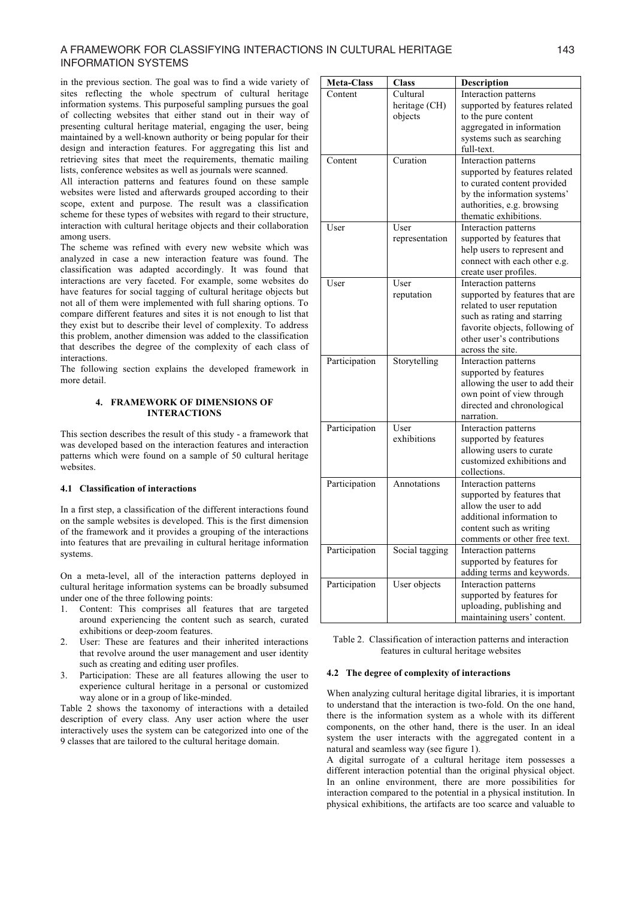# A FRAMEWORK FOR CLASSIFYING INTERACTIONS IN CULTURAL HERITAGE 143 INFORMATION SYSTEMS

in the previous section. The goal was to find a wide variety of sites reflecting the whole spectrum of cultural heritage information systems. This purposeful sampling pursues the goal of collecting websites that either stand out in their way of presenting cultural heritage material, engaging the user, being maintained by a well-known authority or being popular for their design and interaction features. For aggregating this list and retrieving sites that meet the requirements, thematic mailing lists, conference websites as well as journals were scanned.

All interaction patterns and features found on these sample websites were listed and afterwards grouped according to their scope, extent and purpose. The result was a classification scheme for these types of websites with regard to their structure, interaction with cultural heritage objects and their collaboration among users.

The scheme was refined with every new website which was analyzed in case a new interaction feature was found. The classification was adapted accordingly. It was found that interactions are very faceted. For example, some websites do have features for social tagging of cultural heritage objects but not all of them were implemented with full sharing options. To compare different features and sites it is not enough to list that they exist but to describe their level of complexity. To address this problem, another dimension was added to the classification that describes the degree of the complexity of each class of interactions.

The following section explains the developed framework in more detail.

# **4. FRAMEWORK OF DIMENSIONS OF INTERACTIONS**

This section describes the result of this study - a framework that was developed based on the interaction features and interaction patterns which were found on a sample of 50 cultural heritage websites.

# **4.1 Classification of interactions**

In a first step, a classification of the different interactions found on the sample websites is developed. This is the first dimension of the framework and it provides a grouping of the interactions into features that are prevailing in cultural heritage information systems.

On a meta-level, all of the interaction patterns deployed in cultural heritage information systems can be broadly subsumed under one of the three following points:

- 1. Content: This comprises all features that are targeted around experiencing the content such as search, curated exhibitions or deep-zoom features.
- 2. User: These are features and their inherited interactions that revolve around the user management and user identity such as creating and editing user profiles.
- 3. Participation: These are all features allowing the user to experience cultural heritage in a personal or customized way alone or in a group of like-minded.

Table 2 shows the taxonomy of interactions with a detailed description of every class. Any user action where the user interactively uses the system can be categorized into one of the 9 classes that are tailored to the cultural heritage domain.

| <b>Meta-Class</b> | <b>Class</b>                         | Description                                                                                                                                                                                             |
|-------------------|--------------------------------------|---------------------------------------------------------------------------------------------------------------------------------------------------------------------------------------------------------|
| Content           | Cultural<br>heritage (CH)<br>objects | Interaction patterns<br>supported by features related<br>to the pure content<br>aggregated in information<br>systems such as searching<br>full-text.                                                    |
| Content           | Curation                             | Interaction patterns<br>supported by features related<br>to curated content provided<br>by the information systems'<br>authorities, e.g. browsing<br>thematic exhibitions.                              |
| User              | User<br>representation               | Interaction patterns<br>supported by features that<br>help users to represent and<br>connect with each other e.g.<br>create user profiles.                                                              |
| User              | User<br>reputation                   | Interaction patterns<br>supported by features that are<br>related to user reputation<br>such as rating and starring<br>favorite objects, following of<br>other user's contributions<br>across the site. |
| Participation     | Storytelling                         | Interaction patterns<br>supported by features<br>allowing the user to add their<br>own point of view through<br>directed and chronological<br>narration.                                                |
| Participation     | User<br>exhibitions                  | Interaction patterns<br>supported by features<br>allowing users to curate<br>customized exhibitions and<br>collections.                                                                                 |
| Participation     | Annotations                          | Interaction patterns<br>supported by features that<br>allow the user to add<br>additional information to<br>content such as writing<br>comments or other free text.                                     |
| Participation     | Social tagging                       | Interaction patterns<br>supported by features for<br>adding terms and keywords.                                                                                                                         |
| Participation     | User objects                         | Interaction patterns<br>supported by features for<br>uploading, publishing and<br>maintaining users' content.                                                                                           |

Table 2. Classification of interaction patterns and interaction features in cultural heritage websites

### **4.2 The degree of complexity of interactions**

When analyzing cultural heritage digital libraries, it is important to understand that the interaction is two-fold. On the one hand, there is the information system as a whole with its different components, on the other hand, there is the user. In an ideal system the user interacts with the aggregated content in a natural and seamless way (see figure 1).

A digital surrogate of a cultural heritage item possesses a different interaction potential than the original physical object. In an online environment, there are more possibilities for interaction compared to the potential in a physical institution. In physical exhibitions, the artifacts are too scarce and valuable to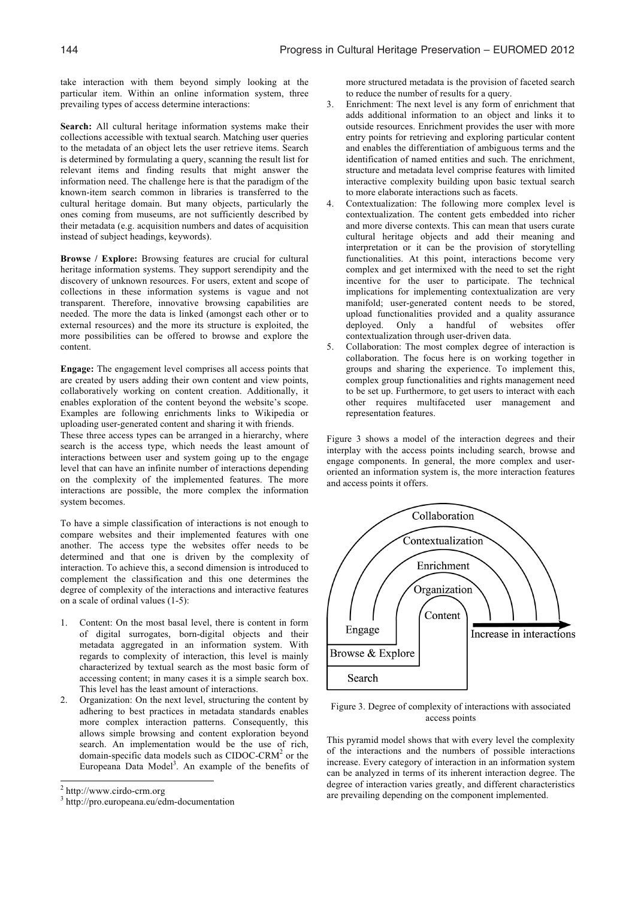take interaction with them beyond simply looking at the particular item. Within an online information system, three prevailing types of access determine interactions:

**Search:** All cultural heritage information systems make their collections accessible with textual search. Matching user queries to the metadata of an object lets the user retrieve items. Search is determined by formulating a query, scanning the result list for relevant items and finding results that might answer the information need. The challenge here is that the paradigm of the known-item search common in libraries is transferred to the cultural heritage domain. But many objects, particularly the ones coming from museums, are not sufficiently described by their metadata (e.g. acquisition numbers and dates of acquisition instead of subject headings, keywords).

**Browse / Explore:** Browsing features are crucial for cultural heritage information systems. They support serendipity and the discovery of unknown resources. For users, extent and scope of collections in these information systems is vague and not transparent. Therefore, innovative browsing capabilities are needed. The more the data is linked (amongst each other or to external resources) and the more its structure is exploited, the more possibilities can be offered to browse and explore the content.

**Engage:** The engagement level comprises all access points that are created by users adding their own content and view points, collaboratively working on content creation. Additionally, it enables exploration of the content beyond the website's scope. Examples are following enrichments links to Wikipedia or uploading user-generated content and sharing it with friends.

These three access types can be arranged in a hierarchy, where search is the access type, which needs the least amount of interactions between user and system going up to the engage level that can have an infinite number of interactions depending on the complexity of the implemented features. The more interactions are possible, the more complex the information system becomes.

To have a simple classification of interactions is not enough to compare websites and their implemented features with one another. The access type the websites offer needs to be determined and that one is driven by the complexity of interaction. To achieve this, a second dimension is introduced to complement the classification and this one determines the degree of complexity of the interactions and interactive features on a scale of ordinal values (1-5):

- 1. Content: On the most basal level, there is content in form of digital surrogates, born-digital objects and their metadata aggregated in an information system. With regards to complexity of interaction, this level is mainly characterized by textual search as the most basic form of accessing content; in many cases it is a simple search box. This level has the least amount of interactions.
- 2. Organization: On the next level, structuring the content by adhering to best practices in metadata standards enables more complex interaction patterns. Consequently, this allows simple browsing and content exploration beyond search. An implementation would be the use of rich, domain-specific data models such as  $CIDOC-CRM<sup>2</sup>$  or the Europeana Data Model<sup>3</sup>. An example of the benefits of

1

more structured metadata is the provision of faceted search to reduce the number of results for a query.

- 3. Enrichment: The next level is any form of enrichment that adds additional information to an object and links it to outside resources. Enrichment provides the user with more entry points for retrieving and exploring particular content and enables the differentiation of ambiguous terms and the identification of named entities and such. The enrichment, structure and metadata level comprise features with limited interactive complexity building upon basic textual search to more elaborate interactions such as facets.
- 4. Contextualization: The following more complex level is contextualization. The content gets embedded into richer and more diverse contexts. This can mean that users curate cultural heritage objects and add their meaning and interpretation or it can be the provision of storytelling functionalities. At this point, interactions become very complex and get intermixed with the need to set the right incentive for the user to participate. The technical implications for implementing contextualization are very manifold; user-generated content needs to be stored, upload functionalities provided and a quality assurance deployed. Only a handful of websites offer contextualization through user-driven data.
- 5. Collaboration: The most complex degree of interaction is collaboration. The focus here is on working together in groups and sharing the experience. To implement this, complex group functionalities and rights management need to be set up. Furthermore, to get users to interact with each other requires multifaceted user management and representation features.

Figure 3 shows a model of the interaction degrees and their interplay with the access points including search, browse and engage components. In general, the more complex and useroriented an information system is, the more interaction features and access points it offers.



Figure 3. Degree of complexity of interactions with associated access points

This pyramid model shows that with every level the complexity of the interactions and the numbers of possible interactions increase. Every category of interaction in an information system can be analyzed in terms of its inherent interaction degree. The degree of interaction varies greatly, and different characteristics are prevailing depending on the component implemented.

<sup>&</sup>lt;sup>2</sup> http://www.cirdo-crm.org

<sup>3</sup> http://pro.europeana.eu/edm-documentation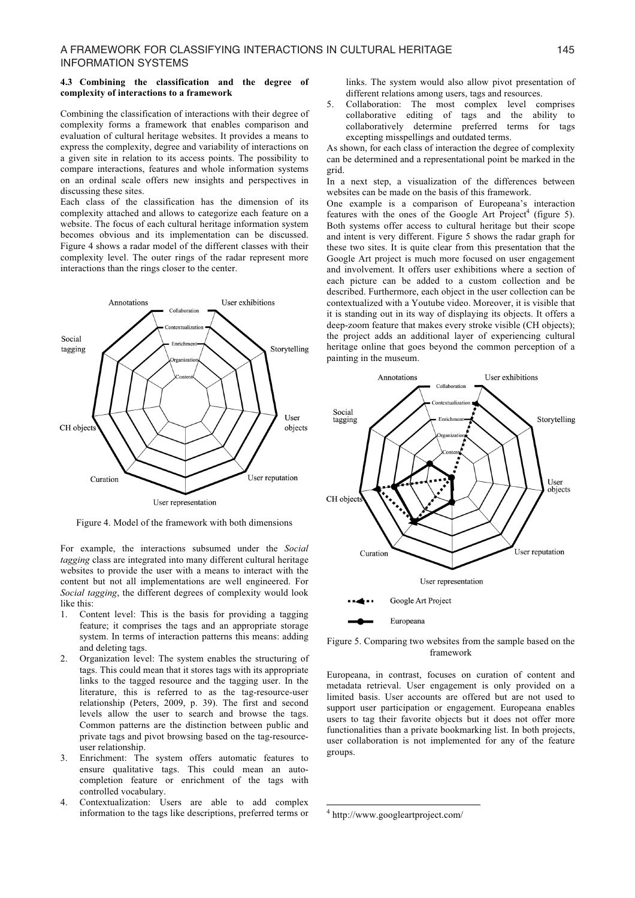#### **4.3 Combining the classification and the degree of complexity of interactions to a framework**

Combining the classification of interactions with their degree of complexity forms a framework that enables comparison and evaluation of cultural heritage websites. It provides a means to express the complexity, degree and variability of interactions on a given site in relation to its access points. The possibility to compare interactions, features and whole information systems on an ordinal scale offers new insights and perspectives in discussing these sites.

Each class of the classification has the dimension of its complexity attached and allows to categorize each feature on a website. The focus of each cultural heritage information system becomes obvious and its implementation can be discussed. Figure 4 shows a radar model of the different classes with their complexity level. The outer rings of the radar represent more interactions than the rings closer to the center.



Figure 4. Model of the framework with both dimensions

For example, the interactions subsumed under the *Social tagging* class are integrated into many different cultural heritage websites to provide the user with a means to interact with the content but not all implementations are well engineered. For *Social tagging*, the different degrees of complexity would look like this:

- 1. Content level: This is the basis for providing a tagging feature; it comprises the tags and an appropriate storage system. In terms of interaction patterns this means: adding and deleting tags.
- 2. Organization level: The system enables the structuring of tags. This could mean that it stores tags with its appropriate links to the tagged resource and the tagging user. In the literature, this is referred to as the tag-resource-user relationship (Peters, 2009, p. 39). The first and second levels allow the user to search and browse the tags. Common patterns are the distinction between public and private tags and pivot browsing based on the tag-resourceuser relationship.
- 3. Enrichment: The system offers automatic features to ensure qualitative tags. This could mean an autocompletion feature or enrichment of the tags with controlled vocabulary.
- 4. Contextualization: Users are able to add complex information to the tags like descriptions, preferred terms or

links. The system would also allow pivot presentation of different relations among users, tags and resources.

5. Collaboration: The most complex level comprises collaborative editing of tags and the ability to collaboratively determine preferred terms for tags excepting misspellings and outdated terms.

As shown, for each class of interaction the degree of complexity can be determined and a representational point be marked in the grid.

In a next step, a visualization of the differences between websites can be made on the basis of this framework.

One example is a comparison of Europeana's interaction features with the ones of the Google Art Project<sup>4</sup> (figure 5). Both systems offer access to cultural heritage but their scope and intent is very different. Figure 5 shows the radar graph for these two sites. It is quite clear from this presentation that the Google Art project is much more focused on user engagement and involvement. It offers user exhibitions where a section of each picture can be added to a custom collection and be described. Furthermore, each object in the user collection can be contextualized with a Youtube video. Moreover, it is visible that it is standing out in its way of displaying its objects. It offers a deep-zoom feature that makes every stroke visible (CH objects); the project adds an additional layer of experiencing cultural heritage online that goes beyond the common perception of a painting in the museum.



Figure 5. Comparing two websites from the sample based on the framework

Europeana, in contrast, focuses on curation of content and metadata retrieval. User engagement is only provided on a limited basis. User accounts are offered but are not used to support user participation or engagement. Europeana enables users to tag their favorite objects but it does not offer more functionalities than a private bookmarking list. In both projects, user collaboration is not implemented for any of the feature groups.

j

<sup>4</sup> http://www.googleartproject.com/